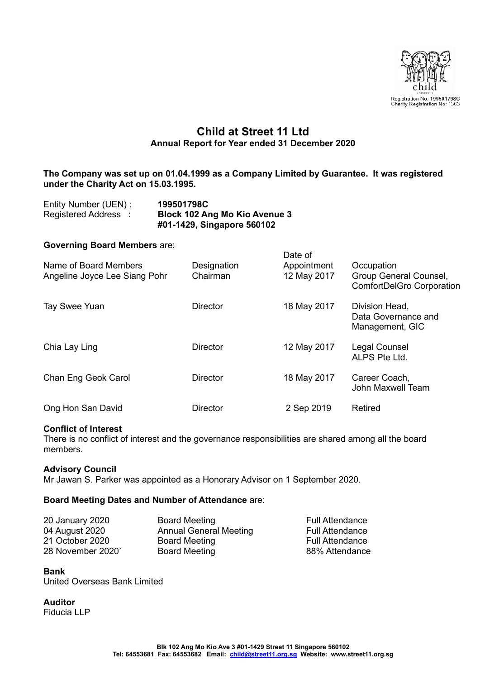

# **Child at Street 11 Ltd Annual Report for Year ended 31 December 2020**

### **The Company was set up on 01.04.1999 as a Company Limited by Guarantee. It was registered under the Charity Act on 15.03.1995.**

| Entity Number (UEN) : | 199501798C                           |
|-----------------------|--------------------------------------|
| Registered Address :  | <b>Block 102 Ang Mo Kio Avenue 3</b> |
|                       | #01-1429, Singapore 560102           |

# **Governing Board Members** are:

|                                                        |                         | Date of                    |                                                                          |
|--------------------------------------------------------|-------------------------|----------------------------|--------------------------------------------------------------------------|
| Name of Board Members<br>Angeline Joyce Lee Siang Pohr | Designation<br>Chairman | Appointment<br>12 May 2017 | Occupation<br>Group General Counsel,<br><b>ComfortDelGro Corporation</b> |
| Tay Swee Yuan                                          | Director                | 18 May 2017                | Division Head,<br>Data Governance and<br>Management, GIC                 |
| Chia Lay Ling                                          | <b>Director</b>         | 12 May 2017                | Legal Counsel<br>ALPS Pte Ltd.                                           |
| Chan Eng Geok Carol                                    | <b>Director</b>         | 18 May 2017                | Career Coach,<br>John Maxwell Team                                       |
| Ong Hon San David                                      | <b>Director</b>         | 2 Sep 2019                 | Retired                                                                  |

#### **Conflict of Interest**

There is no conflict of interest and the governance responsibilities are shared among all the board members.

# **Advisory Council**

Mr Jawan S. Parker was appointed as a Honorary Advisor on 1 September 2020.

# **Board Meeting Dates and Number of Attendance** are:

| 20 January 2020   | <b>Board Meeting</b>          | <b>Full Attendance</b> |
|-------------------|-------------------------------|------------------------|
| 04 August 2020    | <b>Annual General Meeting</b> | <b>Full Attendance</b> |
| 21 October 2020   | <b>Board Meeting</b>          | <b>Full Attendance</b> |
| 28 November 2020` | <b>Board Meeting</b>          | 88% Attendance         |
|                   |                               |                        |

# **Bank**

United Overseas Bank Limited

**Auditor**

Fiducia LLP